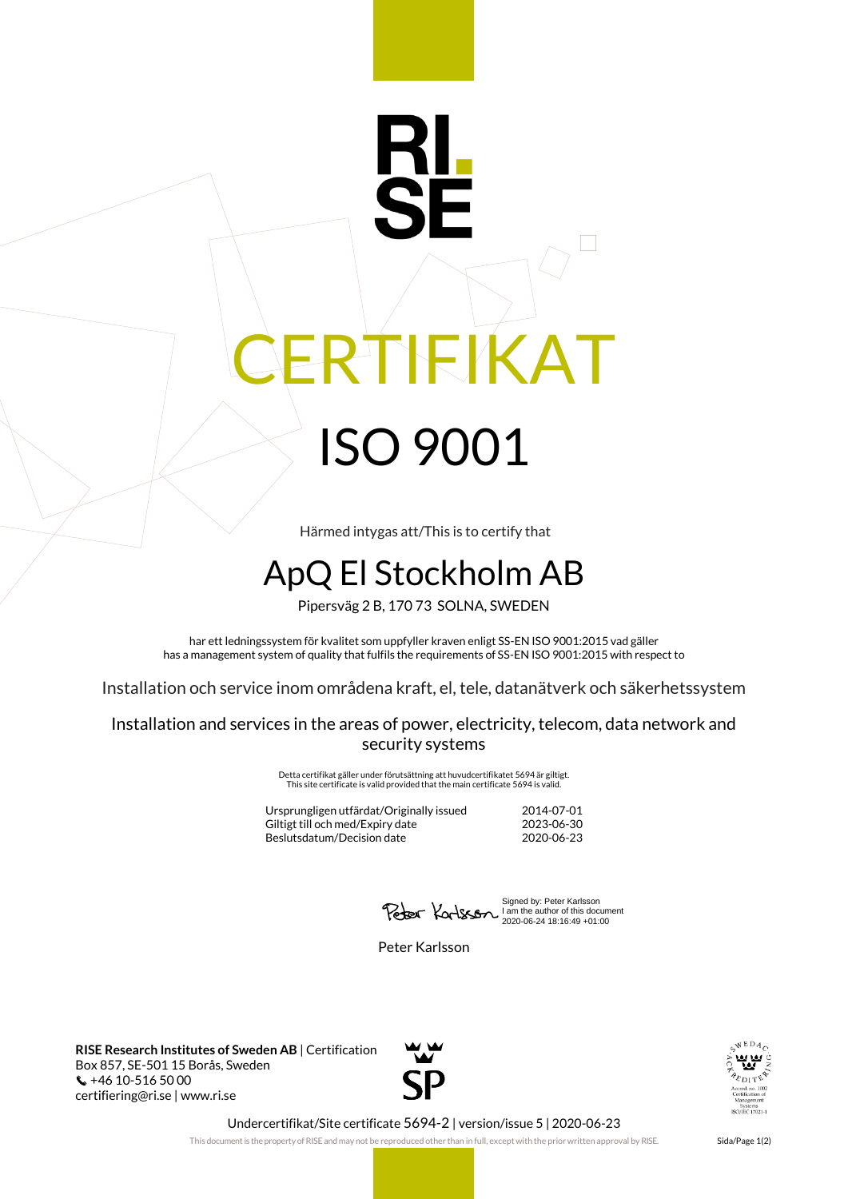## **IEIKAT** ISO 9001

Härmed intygas att/This is to certify that

## ApQ El Stockholm AB

Pipersväg 2 B, 170 73 SOLNA, SWEDEN

har ett ledningssystem för kvalitet som uppfyller kraven enligt SS-EN ISO 9001:2015 vad gäller has a management system of quality that fulfils the requirements of SS-EN ISO 9001:2015 with respect to

Installation och service inom områdena kraft, el, tele, datanätverk och säkerhetssystem

Installation and services in the areas of power, electricity, telecom, data network and security systems

> Detta certifikat gäller under förutsättning att huvudcertifikatet 5694 är giltigt. This site certificate is valid provided that the main certificate 5694 is valid.

Ursprungligen utfärdat/Originally issued 2014-07-01 Giltigt till och med/Expiry date Beslutsdatum/Decision date 2020-06-23

Signed by: Peter Karlsson I am the author of this document 2020-06-24 18:16:49 +01:00

Peter Karlsson

**RISE Research Institutes of Sweden AB** | Certification Box 857, SE-501 15 Borås, Sweden  $\binom{4}{10}$  +46 10-516 50 00 certifiering@ri.se | www.ri.se





Undercertifikat/Site certificate 5694-2 | version/issue 5 | 2020-06-23

This document is the property of RISE and may not be reproduced other than in full, except with the prior written approval by RISE. Sida/Page 1(2)